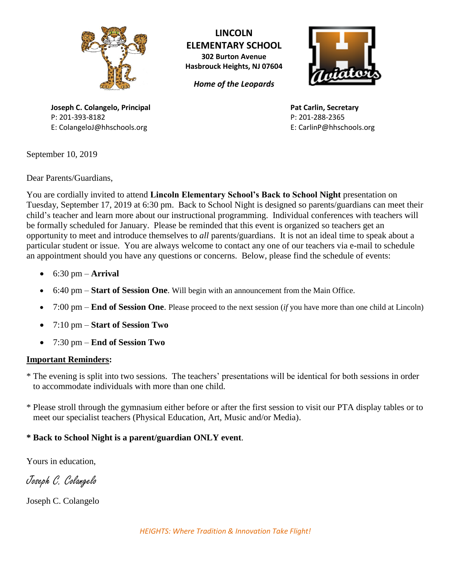

**LINCOLN ELEMENTARY SCHOOL 302 Burton Avenue**

*Home of the Leopards*

**Hasbrouck Heights, NJ 07604**



**Pat Carlin, Secretary** P: 201-288-2365 E: CarlinP@hhschools.org

**Joseph C. Colangelo, Principal** P: 201-393-8182 E: ColangeloJ@hhschools.org

September 10, 2019

Dear Parents/Guardians,

You are cordially invited to attend **Lincoln Elementary School's Back to School Night** presentation on Tuesday, September 17, 2019 at 6:30 pm. Back to School Night is designed so parents/guardians can meet their child's teacher and learn more about our instructional programming. Individual conferences with teachers will be formally scheduled for January. Please be reminded that this event is organized so teachers get an opportunity to meet and introduce themselves to *all* parents/guardians. It is not an ideal time to speak about a particular student or issue. You are always welcome to contact any one of our teachers via e-mail to schedule an appointment should you have any questions or concerns. Below, please find the schedule of events:

- 6:30 pm **Arrival**
- 6:40 pm **Start of Session One**. Will begin with an announcement from the Main Office.
- 7:00 pm **End of Session One**. Please proceed to the next session (*if* you have more than one child at Lincoln)
- 7:10 pm **Start of Session Two**
- 7:30 pm **End of Session Two**

## **Important Reminders:**

- \* The evening is split into two sessions. The teachers' presentations will be identical for both sessions in order to accommodate individuals with more than one child.
- \* Please stroll through the gymnasium either before or after the first session to visit our PTA display tables or to meet our specialist teachers (Physical Education, Art, Music and/or Media).

## **\* Back to School Night is a parent/guardian ONLY event**.

Yours in education,

Joseph C. Colangelo

Joseph C. Colangelo

*HEIGHTS: Where Tradition & Innovation Take Flight!*